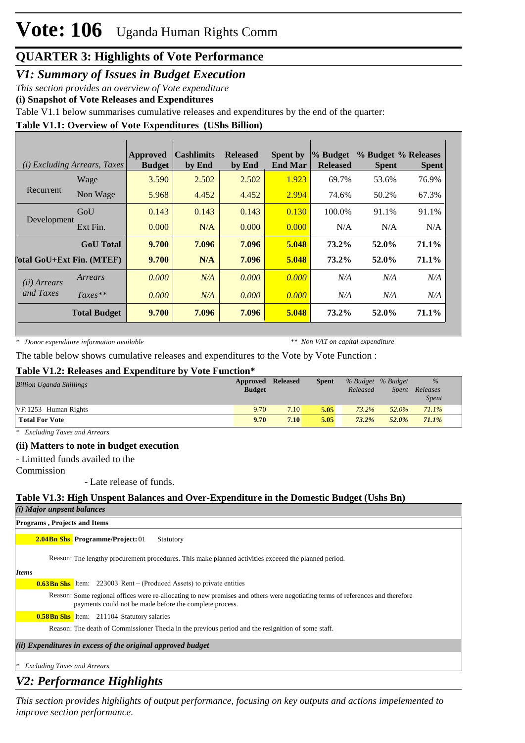# **Vote: 106** Uganda Human Rights Comm

## **QUARTER 3: Highlights of Vote Performance**

*V1: Summary of Issues in Budget Execution*

*This section provides an overview of Vote expenditure* 

**(i) Snapshot of Vote Releases and Expenditures**

Table V1.1 below summarises cumulative releases and expenditures by the end of the quarter:

#### **Table V1.1: Overview of Vote Expenditures (UShs Billion)**

|                                    | (i) Excluding Arrears, Taxes | Approved<br><b>Budget</b> | <b>Cashlimits</b><br>by End | <b>Released</b><br>by End | <b>Spent by</b><br><b>End Mar</b> | % Budget<br><b>Released</b> | % Budget % Releases<br><b>Spent</b> | <b>Spent</b> |
|------------------------------------|------------------------------|---------------------------|-----------------------------|---------------------------|-----------------------------------|-----------------------------|-------------------------------------|--------------|
| Recurrent                          | Wage                         | 3.590                     | 2.502                       | 2.502                     | 1.923                             | 69.7%                       | 53.6%                               | 76.9%        |
|                                    | Non Wage                     | 5.968                     | 4.452                       | 4.452                     | 2.994                             | 74.6%                       | 50.2%                               | 67.3%        |
| Development                        | GoU                          | 0.143                     | 0.143                       | 0.143                     | 0.130                             | 100.0%                      | 91.1%                               | 91.1%        |
|                                    | Ext Fin.                     | 0.000                     | N/A                         | 0.000                     | 0.000                             | N/A                         | N/A                                 | N/A          |
|                                    | <b>GoU</b> Total             | 9.700                     | 7.096                       | 7.096                     | 5.048                             | $73.2\%$                    | 52.0%                               | 71.1%        |
| [otal GoU+Ext Fin. (MTEF)          |                              | 9.700                     | N/A                         | 7.096                     | 5.048                             | 73.2%                       | 52.0%                               | 71.1%        |
| ( <i>ii</i> ) Arrears<br>and Taxes | Arrears                      | 0.000                     | N/A                         | 0.000                     | 0.000                             | N/A                         | N/A                                 | N/A          |
|                                    | $Taxes**$                    | 0.000                     | N/A                         | 0.000                     | 0.000                             | N/A                         | N/A                                 | N/A          |
|                                    | <b>Total Budget</b>          | 9.700                     | 7.096                       | 7.096                     | 5.048                             | 73.2%                       | 52.0%                               | 71.1%        |

*\* Donor expenditure information available*

*\*\* Non VAT on capital expenditure*

The table below shows cumulative releases and expenditures to the Vote by Vote Function :

#### **Table V1.2: Releases and Expenditure by Vote Function\***

| <b>Billion Uganda Shillings</b> | Approved<br><b>Budget</b> | <b>Released</b> | <b>Spent</b> | % Budget % Budget<br>Released | <i>Spent</i> | $\%$<br>Releases<br>Spent |  |
|---------------------------------|---------------------------|-----------------|--------------|-------------------------------|--------------|---------------------------|--|
| VF:1253 Human Rights            | 9.70                      | 7.10            | 5.05         | 73.2%                         | 52.0%        | 71.1%                     |  |
| <b>Total For Vote</b>           | 9.70                      | 7.10            | 5.05         | $73.2\%$                      | 52.0%        | $71.1\%$                  |  |

*\* Excluding Taxes and Arrears*

#### **(ii) Matters to note in budget execution**

- Limitted funds availed to the

Commission

- Late release of funds.

#### **Table V1.3: High Unspent Balances and Over-Expenditure in the Domestic Budget (Ushs Bn)**

| $(i)$ Major unpsent balances                                                                                                                                                              |
|-------------------------------------------------------------------------------------------------------------------------------------------------------------------------------------------|
| <b>Programs, Projects and Items</b>                                                                                                                                                       |
| <b>2.04Bn Shs</b> Programme/Project: 01<br>Statutory                                                                                                                                      |
| Reason: The lengthy procurement procedures. This make planned activities exceed the planned period.                                                                                       |
| <b>Items</b>                                                                                                                                                                              |
| <b>0.63Bn Shs</b> Item: 223003 Rent – (Produced Assets) to private entities                                                                                                               |
| Reason: Some regional offices were re-allocating to new premises and others were negotiating terms of references and therefore<br>payments could not be made before the complete process. |
| <b>0.58Bn Shs</b> Item: 211104 Statutory salaries                                                                                                                                         |
| Reason: The death of Commissioner Thecla in the previous period and the resignition of some staff.                                                                                        |
| (ii) Expenditures in excess of the original approved budget                                                                                                                               |
| $\vert * \vert$ Excluding Taxes and Arrears                                                                                                                                               |

## *V2: Performance Highlights*

*This section provides highlights of output performance, focusing on key outputs and actions impelemented to improve section performance.*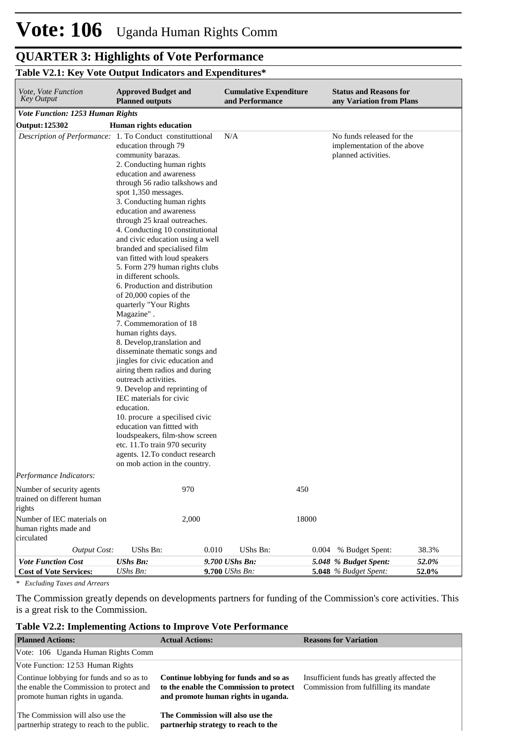#### **QUARTER 3: Highlights of Vote Performance** *This section provides highlights of output performance, focusing on key outputs and actions impelemented to improve section performance.*

#### **Table V2.1: Key Vote Output Indicators and Expenditures\***

| Vote, Vote Function<br>Key Output                                                                                        | <b>Approved Budget and</b><br><b>Planned outputs</b>                                                                                                                                                                                                                                                                                                                                                                                                                                                                                                                                                                                                                                                                                                                                                                                                                                                                                                                                                                                                           |                                  | <b>Cumulative Expenditure</b><br>and Performance |              | <b>Status and Reasons for</b><br>any Variation from Plans                       |                |
|--------------------------------------------------------------------------------------------------------------------------|----------------------------------------------------------------------------------------------------------------------------------------------------------------------------------------------------------------------------------------------------------------------------------------------------------------------------------------------------------------------------------------------------------------------------------------------------------------------------------------------------------------------------------------------------------------------------------------------------------------------------------------------------------------------------------------------------------------------------------------------------------------------------------------------------------------------------------------------------------------------------------------------------------------------------------------------------------------------------------------------------------------------------------------------------------------|----------------------------------|--------------------------------------------------|--------------|---------------------------------------------------------------------------------|----------------|
| <b>Vote Function: 1253 Human Rights</b>                                                                                  |                                                                                                                                                                                                                                                                                                                                                                                                                                                                                                                                                                                                                                                                                                                                                                                                                                                                                                                                                                                                                                                                |                                  |                                                  |              |                                                                                 |                |
| <b>Output: 125302</b>                                                                                                    | Human rights education                                                                                                                                                                                                                                                                                                                                                                                                                                                                                                                                                                                                                                                                                                                                                                                                                                                                                                                                                                                                                                         |                                  |                                                  |              |                                                                                 |                |
| Description of Performance: 1. To Conduct constituttional                                                                | education through 79<br>community barazas.<br>2. Conducting human rights<br>education and awareness<br>through 56 radio talkshows and<br>spot 1,350 messages.<br>3. Conducting human rights<br>education and awareness<br>through 25 kraal outreaches.<br>4. Conducting 10 constitutional<br>and civic education using a well<br>branded and specialised film<br>van fitted with loud speakers<br>5. Form 279 human rights clubs<br>in different schools.<br>6. Production and distribution<br>of $20,000$ copies of the<br>quarterly "Your Rights<br>Magazine".<br>7. Commemoration of 18<br>human rights days.<br>8. Develop, translation and<br>disseminate thematic songs and<br>jingles for civic education and<br>airing them radios and during<br>outreach activities.<br>9. Develop and reprinting of<br>IEC materials for civic<br>education.<br>10. procure a specilised civic<br>education van fittted with<br>loudspeakers, film-show screen<br>etc. 11. To train 970 security<br>agents. 12. To conduct research<br>on mob action in the country. | N/A                              |                                                  |              | No funds released for the<br>implementation of the above<br>planned activities. |                |
| Performance Indicators:                                                                                                  |                                                                                                                                                                                                                                                                                                                                                                                                                                                                                                                                                                                                                                                                                                                                                                                                                                                                                                                                                                                                                                                                |                                  |                                                  |              |                                                                                 |                |
| Number of security agents<br>trained on different human<br>rights<br>Number of IEC materials on<br>human rights made and | 970<br>2,000                                                                                                                                                                                                                                                                                                                                                                                                                                                                                                                                                                                                                                                                                                                                                                                                                                                                                                                                                                                                                                                   |                                  |                                                  | 450<br>18000 |                                                                                 |                |
| circulated                                                                                                               |                                                                                                                                                                                                                                                                                                                                                                                                                                                                                                                                                                                                                                                                                                                                                                                                                                                                                                                                                                                                                                                                |                                  |                                                  |              |                                                                                 |                |
| <b>Output Cost:</b>                                                                                                      | UShs Bn:                                                                                                                                                                                                                                                                                                                                                                                                                                                                                                                                                                                                                                                                                                                                                                                                                                                                                                                                                                                                                                                       | 0.010                            | UShs Bn:                                         | 0.004        | % Budget Spent:                                                                 | 38.3%          |
| <b>Vote Function Cost</b><br><b>Cost of Vote Services:</b>                                                               | <b>UShs Bn:</b><br>UShs Bn:                                                                                                                                                                                                                                                                                                                                                                                                                                                                                                                                                                                                                                                                                                                                                                                                                                                                                                                                                                                                                                    | 9.700 UShs Bn:<br>9.700 UShs Bn: |                                                  |              | 5.048 % Budget Spent:<br>5.048 % Budget Spent:                                  | 52.0%<br>52.0% |

*\* Excluding Taxes and Arrears*

The Commission greatly depends on developments partners for funding of the Commission's core activities. This is a great risk to the Commission.

#### **Table V2.2: Implementing Actions to Improve Vote Performance**

| <b>Planned Actions:</b>                                                                                                 | <b>Actual Actions:</b>                                                                                                  | <b>Reasons for Variation</b>                                                          |
|-------------------------------------------------------------------------------------------------------------------------|-------------------------------------------------------------------------------------------------------------------------|---------------------------------------------------------------------------------------|
| Vote: 106 Uganda Human Rights Comm                                                                                      |                                                                                                                         |                                                                                       |
| Vote Function: 1253 Human Rights                                                                                        |                                                                                                                         |                                                                                       |
| Continue lobbying for funds and so as to<br>the enable the Commission to protect and<br>promote human rights in uganda. | Continue lobbying for funds and so as<br>to the enable the Commission to protect<br>and promote human rights in uganda. | Insufficient funds has greatly affected the<br>Commission from fulfilling its mandate |
| The Commission will also use the<br>partnerhip strategy to reach to the public.                                         | The Commission will also use the<br>partnerhip strategy to reach to the                                                 |                                                                                       |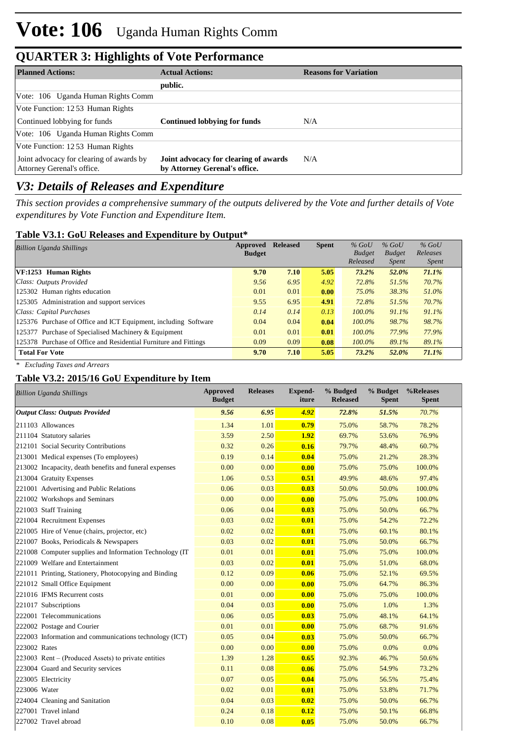## **QUARTER 3: Highlights of Vote Performance**

| <b>Planned Actions:</b>                                                | <b>Actual Actions:</b>                                                 | <b>Reasons for Variation</b> |
|------------------------------------------------------------------------|------------------------------------------------------------------------|------------------------------|
|                                                                        | public.                                                                |                              |
| Vote: 106 Uganda Human Rights Comm                                     |                                                                        |                              |
| Vote Function: 1253 Human Rights                                       |                                                                        |                              |
| Continued lobbying for funds                                           | Continued lobbying for funds                                           | N/A                          |
| Vote: 106 Uganda Human Rights Comm                                     |                                                                        |                              |
| Vote Function: 1253 Human Rights                                       |                                                                        |                              |
| Joint advocacy for clearing of awards by<br>Attorney Gerenal's office. | Joint advocacy for clearing of awards<br>by Attorney Gerenal's office. | N/A                          |

## *V3: Details of Releases and Expenditure*

*This section provides a comprehensive summary of the outputs delivered by the Vote and further details of Vote expenditures by Vote Function and Expenditure Item.*

### **Table V3.1: GoU Releases and Expenditure by Output\***

| <b>Billion Uganda Shillings</b>                                  | Approved      | <b>Released</b> | <b>Spent</b> | $%$ GoU       | $%$ GoU       | $%$ GoU      |
|------------------------------------------------------------------|---------------|-----------------|--------------|---------------|---------------|--------------|
|                                                                  | <b>Budget</b> |                 |              | <b>Budget</b> | <b>Budget</b> | Releases     |
|                                                                  |               |                 |              | Released      | Spent         | <i>Spent</i> |
| VF:1253 Human Rights                                             | 9.70          | 7.10            | 5.05         | 73.2%         | 52.0%         | 71.1%        |
| Class: Outputs Provided                                          | 9.56          | 6.95            | 4.92         | 72.8%         | 51.5%         | 70.7%        |
| 125302 Human rights education                                    | 0.01          | 0.01            | 0.00         | 75.0%         | 38.3%         | 51.0%        |
| 125305 Administration and support services                       | 9.55          | 6.95            | 4.91         | 72.8%         | 51.5%         | 70.7%        |
| Class: Capital Purchases                                         | 0.14          | 0.14            | 0.13         | $100.0\%$     | 91.1%         | 91.1%        |
| 125376 Purchase of Office and ICT Equipment, including Software  | 0.04          | 0.04            | 0.04         | $100.0\%$     | 98.7%         | 98.7%        |
| 125377 Purchase of Specialised Machinery & Equipment             | 0.01          | 0.01            | 0.01         | $100.0\%$     | 77.9%         | 77.9%        |
| 125378 Purchase of Office and Residential Furniture and Fittings | 0.09          | 0.09            | 0.08         | $100.0\%$     | 89.1%         | 89.1%        |
| <b>Total For Vote</b>                                            | 9.70          | 7.10            | 5.05         | 73.2%         | 52.0%         | 71.1%        |

*\* Excluding Taxes and Arrears*

## **Table V3.2: 2015/16 GoU Expenditure by Item**

| <b>Billion Uganda Shillings</b>                         | <b>Approved</b><br><b>Budget</b> | <b>Releases</b> | Expend-<br>iture | % Budged<br><b>Released</b> | % Budget<br><b>Spent</b> | %Releases<br><b>Spent</b> |
|---------------------------------------------------------|----------------------------------|-----------------|------------------|-----------------------------|--------------------------|---------------------------|
| <b>Output Class: Outputs Provided</b>                   | 9.56                             | 6.95            | 4.92             | 72.8%                       | 51.5%                    | 70.7%                     |
| 211103 Allowances                                       | 1.34                             | 1.01            | 0.79             | 75.0%                       | 58.7%                    | 78.2%                     |
| 211104 Statutory salaries                               | 3.59                             | 2.50            | 1.92             | 69.7%                       | 53.6%                    | 76.9%                     |
| 212101 Social Security Contributions                    | 0.32                             | 0.26            | 0.16             | 79.7%                       | 48.4%                    | 60.7%                     |
| 213001 Medical expenses (To employees)                  | 0.19                             | 0.14            | 0.04             | 75.0%                       | 21.2%                    | 28.3%                     |
| 213002 Incapacity, death benefits and funeral expenses  | 0.00                             | 0.00            | 0.00             | 75.0%                       | 75.0%                    | 100.0%                    |
| 213004 Gratuity Expenses                                | 1.06                             | 0.53            | 0.51             | 49.9%                       | 48.6%                    | 97.4%                     |
| 221001 Advertising and Public Relations                 | 0.06                             | 0.03            | 0.03             | 50.0%                       | 50.0%                    | 100.0%                    |
| 221002 Workshops and Seminars                           | 0.00                             | 0.00            | 0.00             | 75.0%                       | 75.0%                    | 100.0%                    |
| 221003 Staff Training                                   | 0.06                             | 0.04            | 0.03             | 75.0%                       | 50.0%                    | 66.7%                     |
| 221004 Recruitment Expenses                             | 0.03                             | 0.02            | 0.01             | 75.0%                       | 54.2%                    | 72.2%                     |
| 221005 Hire of Venue (chairs, projector, etc)           | 0.02                             | 0.02            | 0.01             | 75.0%                       | 60.1%                    | 80.1%                     |
| 221007 Books, Periodicals & Newspapers                  | 0.03                             | 0.02            | 0.01             | 75.0%                       | 50.0%                    | 66.7%                     |
| 221008 Computer supplies and Information Technology (IT | 0.01                             | 0.01            | 0.01             | 75.0%                       | 75.0%                    | 100.0%                    |
| 221009 Welfare and Entertainment                        | 0.03                             | 0.02            | 0.01             | 75.0%                       | 51.0%                    | 68.0%                     |
| 221011 Printing, Stationery, Photocopying and Binding   | 0.12                             | 0.09            | 0.06             | 75.0%                       | 52.1%                    | 69.5%                     |
| 221012 Small Office Equipment                           | 0.00                             | 0.00            | 0.00             | 75.0%                       | 64.7%                    | 86.3%                     |
| 221016 IFMS Recurrent costs                             | 0.01                             | 0.00            | 0.00             | 75.0%                       | 75.0%                    | 100.0%                    |
| 221017 Subscriptions                                    | 0.04                             | 0.03            | 0.00             | 75.0%                       | 1.0%                     | 1.3%                      |
| 222001 Telecommunications                               | 0.06                             | 0.05            | 0.03             | 75.0%                       | 48.1%                    | 64.1%                     |
| 222002 Postage and Courier                              | 0.01                             | 0.01            | 0.00             | 75.0%                       | 68.7%                    | 91.6%                     |
| 222003 Information and communications technology (ICT)  | 0.05                             | 0.04            | 0.03             | 75.0%                       | 50.0%                    | 66.7%                     |
| 223002 Rates                                            | 0.00                             | 0.00            | 0.00             | 75.0%                       | 0.0%                     | $0.0\%$                   |
| 223003 Rent – (Produced Assets) to private entities     | 1.39                             | 1.28            | 0.65             | 92.3%                       | 46.7%                    | 50.6%                     |
| 223004 Guard and Security services                      | 0.11                             | 0.08            | 0.06             | 75.0%                       | 54.9%                    | 73.2%                     |
| 223005 Electricity                                      | 0.07                             | 0.05            | 0.04             | 75.0%                       | 56.5%                    | 75.4%                     |
| 223006 Water                                            | 0.02                             | 0.01            | 0.01             | 75.0%                       | 53.8%                    | 71.7%                     |
| 224004 Cleaning and Sanitation                          | 0.04                             | 0.03            | 0.02             | 75.0%                       | 50.0%                    | 66.7%                     |
| 227001 Travel inland                                    | 0.24                             | 0.18            | 0.12             | 75.0%                       | 50.1%                    | 66.8%                     |
| 227002 Travel abroad                                    | 0.10                             | 0.08            | 0.05             | 75.0%                       | 50.0%                    | 66.7%                     |